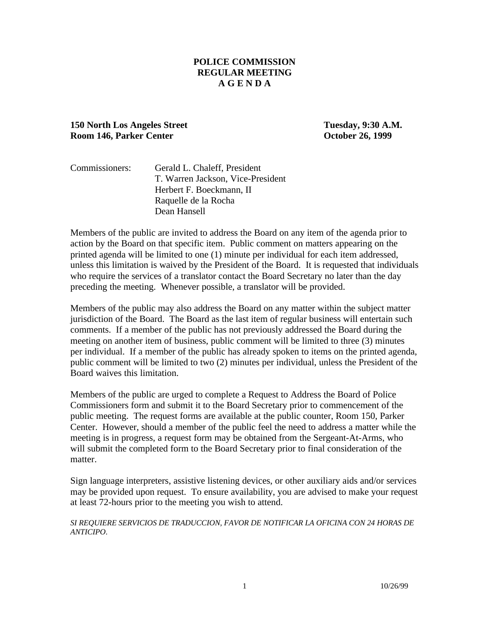### **POLICE COMMISSION REGULAR MEETING A G E N D A**

### **150 North Los Angeles Street Tuesday, 9:30 A.M. Room 146, Parker Center October 26, 1999**

| Commissioners: | Gerald L. Chaleff, President      |
|----------------|-----------------------------------|
|                | T. Warren Jackson, Vice-President |
|                | Herbert F. Boeckmann, II          |
|                | Raquelle de la Rocha              |
|                | Dean Hansell                      |

Members of the public are invited to address the Board on any item of the agenda prior to action by the Board on that specific item. Public comment on matters appearing on the printed agenda will be limited to one (1) minute per individual for each item addressed, unless this limitation is waived by the President of the Board. It is requested that individuals who require the services of a translator contact the Board Secretary no later than the day preceding the meeting. Whenever possible, a translator will be provided.

Members of the public may also address the Board on any matter within the subject matter jurisdiction of the Board. The Board as the last item of regular business will entertain such comments. If a member of the public has not previously addressed the Board during the meeting on another item of business, public comment will be limited to three (3) minutes per individual. If a member of the public has already spoken to items on the printed agenda, public comment will be limited to two (2) minutes per individual, unless the President of the Board waives this limitation.

Members of the public are urged to complete a Request to Address the Board of Police Commissioners form and submit it to the Board Secretary prior to commencement of the public meeting. The request forms are available at the public counter, Room 150, Parker Center. However, should a member of the public feel the need to address a matter while the meeting is in progress, a request form may be obtained from the Sergeant-At-Arms, who will submit the completed form to the Board Secretary prior to final consideration of the matter.

Sign language interpreters, assistive listening devices, or other auxiliary aids and/or services may be provided upon request. To ensure availability, you are advised to make your request at least 72-hours prior to the meeting you wish to attend.

*SI REQUIERE SERVICIOS DE TRADUCCION, FAVOR DE NOTIFICAR LA OFICINA CON 24 HORAS DE ANTICIPO*.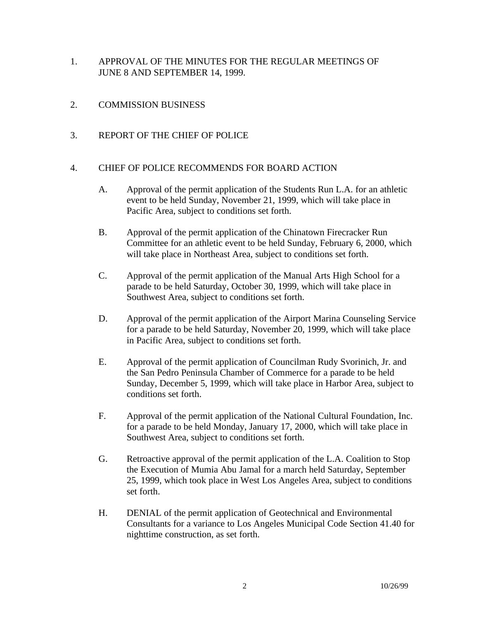- 1. APPROVAL OF THE MINUTES FOR THE REGULAR MEETINGS OF JUNE 8 AND SEPTEMBER 14, 1999.
- 2. COMMISSION BUSINESS
- 3. REPORT OF THE CHIEF OF POLICE

#### 4. CHIEF OF POLICE RECOMMENDS FOR BOARD ACTION

- A. Approval of the permit application of the Students Run L.A. for an athletic event to be held Sunday, November 21, 1999, which will take place in Pacific Area, subject to conditions set forth.
- B. Approval of the permit application of the Chinatown Firecracker Run Committee for an athletic event to be held Sunday, February 6, 2000, which will take place in Northeast Area, subject to conditions set forth.
- C. Approval of the permit application of the Manual Arts High School for a parade to be held Saturday, October 30, 1999, which will take place in Southwest Area, subject to conditions set forth.
- D. Approval of the permit application of the Airport Marina Counseling Service for a parade to be held Saturday, November 20, 1999, which will take place in Pacific Area, subject to conditions set forth.
- E. Approval of the permit application of Councilman Rudy Svorinich, Jr. and the San Pedro Peninsula Chamber of Commerce for a parade to be held Sunday, December 5, 1999, which will take place in Harbor Area, subject to conditions set forth.
- F. Approval of the permit application of the National Cultural Foundation, Inc. for a parade to be held Monday, January 17, 2000, which will take place in Southwest Area, subject to conditions set forth.
- G. Retroactive approval of the permit application of the L.A. Coalition to Stop the Execution of Mumia Abu Jamal for a march held Saturday, September 25, 1999, which took place in West Los Angeles Area, subject to conditions set forth.
- H. DENIAL of the permit application of Geotechnical and Environmental Consultants for a variance to Los Angeles Municipal Code Section 41.40 for nighttime construction, as set forth.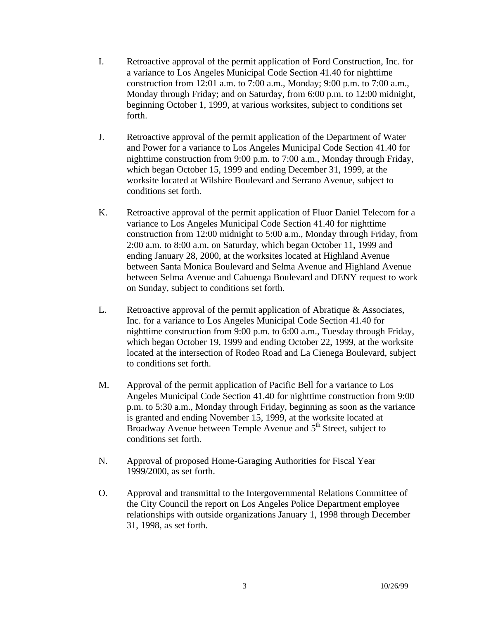- I. Retroactive approval of the permit application of Ford Construction, Inc. for a variance to Los Angeles Municipal Code Section 41.40 for nighttime construction from 12:01 a.m. to 7:00 a.m., Monday; 9:00 p.m. to 7:00 a.m., Monday through Friday; and on Saturday, from 6:00 p.m. to 12:00 midnight, beginning October 1, 1999, at various worksites, subject to conditions set forth.
- J. Retroactive approval of the permit application of the Department of Water and Power for a variance to Los Angeles Municipal Code Section 41.40 for nighttime construction from 9:00 p.m. to 7:00 a.m., Monday through Friday, which began October 15, 1999 and ending December 31, 1999, at the worksite located at Wilshire Boulevard and Serrano Avenue, subject to conditions set forth.
- K. Retroactive approval of the permit application of Fluor Daniel Telecom for a variance to Los Angeles Municipal Code Section 41.40 for nighttime construction from 12:00 midnight to 5:00 a.m., Monday through Friday, from 2:00 a.m. to 8:00 a.m. on Saturday, which began October 11, 1999 and ending January 28, 2000, at the worksites located at Highland Avenue between Santa Monica Boulevard and Selma Avenue and Highland Avenue between Selma Avenue and Cahuenga Boulevard and DENY request to work on Sunday, subject to conditions set forth.
- L. Retroactive approval of the permit application of Abratique & Associates, Inc. for a variance to Los Angeles Municipal Code Section 41.40 for nighttime construction from 9:00 p.m. to 6:00 a.m., Tuesday through Friday, which began October 19, 1999 and ending October 22, 1999, at the worksite located at the intersection of Rodeo Road and La Cienega Boulevard, subject to conditions set forth.
- M. Approval of the permit application of Pacific Bell for a variance to Los Angeles Municipal Code Section 41.40 for nighttime construction from 9:00 p.m. to 5:30 a.m., Monday through Friday, beginning as soon as the variance is granted and ending November 15, 1999, at the worksite located at Broadway Avenue between Temple Avenue and  $5<sup>th</sup>$  Street, subject to conditions set forth.
- N. Approval of proposed Home-Garaging Authorities for Fiscal Year 1999/2000, as set forth.
- O. Approval and transmittal to the Intergovernmental Relations Committee of the City Council the report on Los Angeles Police Department employee relationships with outside organizations January 1, 1998 through December 31, 1998, as set forth.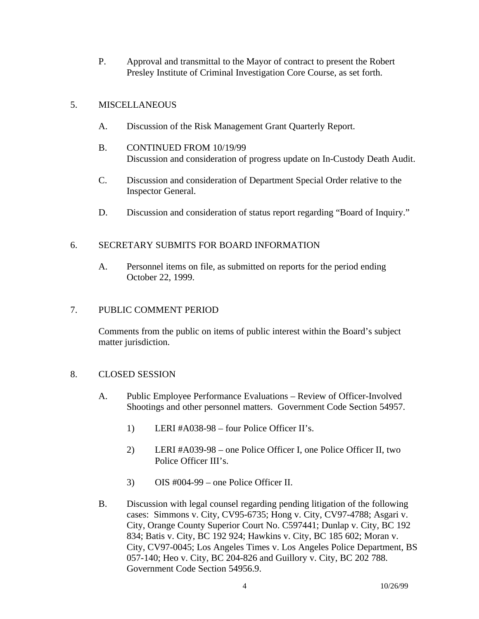P. Approval and transmittal to the Mayor of contract to present the Robert Presley Institute of Criminal Investigation Core Course, as set forth.

## 5. MISCELLANEOUS

- A. Discussion of the Risk Management Grant Quarterly Report.
- B. CONTINUED FROM 10/19/99 Discussion and consideration of progress update on In-Custody Death Audit.
- C. Discussion and consideration of Department Special Order relative to the Inspector General.
- D. Discussion and consideration of status report regarding "Board of Inquiry."

# 6. SECRETARY SUBMITS FOR BOARD INFORMATION

A. Personnel items on file, as submitted on reports for the period ending October 22, 1999.

## 7. PUBLIC COMMENT PERIOD

Comments from the public on items of public interest within the Board's subject matter jurisdiction.

## 8. CLOSED SESSION

- A. Public Employee Performance Evaluations Review of Officer-Involved Shootings and other personnel matters. Government Code Section 54957.
	- 1) LERI #A038-98 four Police Officer II's.
	- 2) LERI #A039-98 one Police Officer I, one Police Officer II, two Police Officer III's.
	- 3) OIS #004-99 one Police Officer II.
- B. Discussion with legal counsel regarding pending litigation of the following cases: Simmons v. City, CV95-6735; Hong v. City, CV97-4788; Asgari v. City, Orange County Superior Court No. C597441; Dunlap v. City, BC 192 834; Batis v. City, BC 192 924; Hawkins v. City, BC 185 602; Moran v. City, CV97-0045; Los Angeles Times v. Los Angeles Police Department, BS 057-140; Heo v. City, BC 204-826 and Guillory v. City, BC 202 788. Government Code Section 54956.9.